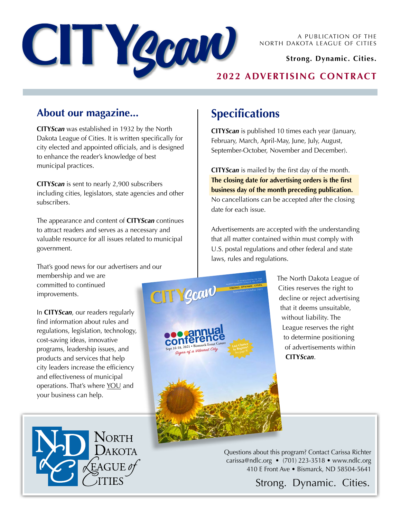

A PUBLICATION OF THE NORTH DAKOTA LEAGUE OF CITIES

### **Strong. Dynamic. Cities.**

## **2022 ADVERTISING CONTRACT**

## **About our magazine...**

**CITY***Scan* was established in 1932 by the North Dakota League of Cities. It is written specifically for city elected and appointed officials, and is designed to enhance the reader's knowledge of best municipal practices.

**CITY***Scan* is sent to nearly 2,900 subscribers including cities, legislators, state agencies and other subscribers.

The appearance and content of **CITY***Scan* continues to attract readers and serves as a necessary and valuable resource for all issues related to municipal government.

That's good news for our advertisers and our membership and we are committed to continued **CITY gcav** improvements.

In **CITY***Scan*, our readers regularly find information about rules and regulations, legislation, technology, cost-saving ideas, innovative programs, leadership issues, and products and services that help city leaders increase the efficiency and effectiveness of municipal operations. That's where YOU and your business can help.



# **Specifications**

A PUBLICATION OF THE A PUBLICATION OF CITIES **STRONG. DYNAMIC. CITIES.** September/October 2021

**to Register!**

**Sept 16-18, 2021 • Bismarck Event Center**

**Signs of a Vibrant City Chance City**<br> **Last Chance City** City Channel City See page of a Vibrant City

**CITY***Scan* is published 10 times each year (January, February, March, April-May, June, July, August, September-October, November and December).

**CITY***Scan* is mailed by the first day of the month. **The closing date for advertising orders is the first business day of the month preceding publication.** No cancellations can be accepted after the closing date for each issue.

Advertisements are accepted with the understanding that all matter contained within must comply with U.S. postal regulations and other federal and state laws, rules and regulations.

> The North Dakota League of Cities reserves the right to decline or reject advertising that it deems unsuitable, without liability. The League reserves the right to determine positioning of advertisements within **CITY***Scan*.

Questions about this program? Contact Carissa Richter carissa@ndlc.org • (701) 223-3518 • www.ndlc.org 410 E Front Ave • Bismarck, ND 58504-5641

Strong. Dynamic. Cities.